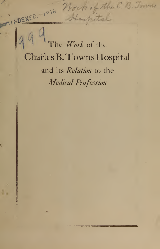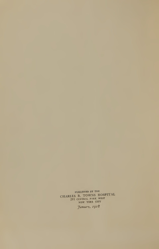PUBLISHED BY THE CHARLES B. TOWNS HOSPITAL 293 CENTRAL PARK WEST<br>NEW YORK CITY

January, 1918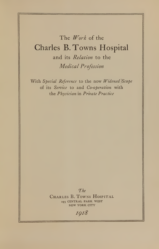# The Work of the Charles B.Towns Hospital and its Relation to the Medical Profession

With Special Reference to the now Widened Scope of its Service to and Co-operation with the Physician in Private Practice

The

CHARLES B. TOWNS HOSPITAL <sup>293</sup> CENTRAL PARK WEST NEW YORK CITY

1918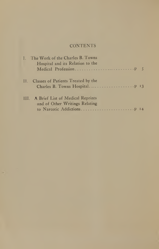### **CONTENTS**

| I. The Work of the Charles B. Towns<br>Hospital and its Relation to the |  |
|-------------------------------------------------------------------------|--|
| II. Classes of Patients Treated by the                                  |  |
| III. A Brief List of Medical Reprints<br>and of Other Writings Relating |  |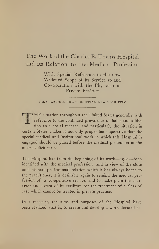## The Work of the Charles B. Towns Hospital and its Relation to the Medical Profession

With Special Reference to the now Widened Scope of its Service to and Co-operation with the Physician in Private Practice

THE CHARLES B. TOWNS HOSPITAL, NEW YORK CITY

HE situation throughout the United States generally with reference to the continued prevalence of habit and addiction as a social menace, and particularly the situation in certain States, makes it not only proper but imperative that the special medical and institutional work in which this Hospital is engaged should be placed before the medical profession in the most explicit terms.

The Hospital has from the beginning of its work---1901---been identified with the medical profession; and in view of the close and intimate professional relation which it has always borne to the practitioner, it is desirable again to remind the medical profession of its co-operative service, and to make plain the character and extent of its facilities for the treatment of a class of case which cannot be treated in private practice.

In a measure, the aims and purposes of the Hospital have been realized, that is, to create and develop a work devoted ex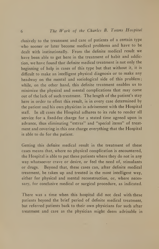clusively to the treatment and care of patients of <sup>a</sup> certain type who sooner or later become medical problems and have to be dealt with institutionally. From the definite medical result we have been able to get here in the treatment of habit and addiction, we have found that definite medical treatment is not only the beginning of help in cases of this type but that without it, it is difficult to make an intelligent physical diagnosis or to make any headway on the mental and sociological side of this problem; while, on the other hand, this definite treatment enables us to minimize the physical and mental complications that may come out of the lack of such treatment. The length of the patient's stay here in order to effect this result, is in every case determined by the patient and his own physician in advisement with the Hospital staff. In all cases the Hospital adheres to its rule to render all service for a fixed-fee charge for a stated time agreed upon in advance, thus eliminating "extras" and "special items" of treat ment and covering in this one charge everything that the Hospital is able to do for the patient.

Getting this definite medical result in the treatment of these cases means that, where no physical complication is encountered, the Hospital is able to put these patients where they do not in any way whatsoever crave or desire, or feel the need of, stimulants or drugs. Beyond that, these cases can, after definite medical treatment, be taken up and treated in the most intelligent way, either for physical and mental reconstruction, or, where necessary, for conclusive medical or surgical procedure, as indicated.

There was <sup>a</sup> time when this hospital did not deal with these patients beyond the brief period of definite medical treatment, but referred patients back to their own physicians for such after treatment and care as the physician might deem advisable in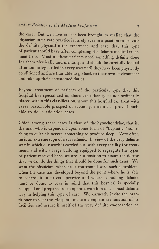the case. But wc have at last been brought to realize that the physician in private practice is rarely ever in a position to provide the definite physical after treatment and care that this type of patient should have after completing the definite medical treat ment here. Most of these patients need something definite done for them physically and mentally, and should be carefully looked after and safeguarded in every way until they have been physically conditioned and are thus able to go back to their own environment and take up their accustomed duties.

Beyond treatment of patients of the particular type that this hospital has specialized in, there are other types not ordinarily placed within this classification, whom this hospital can treat with every reasonable prospect of success just as it has proved itself able to do in addiction cases.

Chief among these cases is that of the hypochondriac, that is, the man who is dependent upon some form of "hypnotic," something to quiet his nerves, something to produce sleep. Very often he is an extreme type of neurasthenic. In view of the very definite way in which our work is carried out, with every facility for treat ment, and with a large building equipped to segregate the types of patient received here, we are in a position to assure the doctor that we can do the things that should be done for such cases. We want the physician, when he is confronted with such a problem, when the case has developed beyond the point where he is able to control it in private practice and where something definite must be done, to bear in mind that this hospital is specially equipped and prepared to co-operate with him in the most definite way in helping this type of case. We earnestly invite the practitioner to visit the Hospital, make a complete examination of its facilities and assure himself of the very definite co-operation he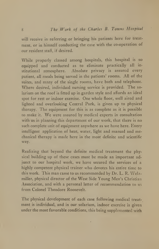will receive in referring or bringing his patients here for treatment, or in himself conducting the case with the co-operation of our resident staff, if desired.

While properly classed among hospitals, this hospital is so equipped and conducted as to eliminate practically all in stitutional atmosphere. Absolute privacy is assured every patient, all meals being served in the patients' rooms. All of the suites, and many of the single rooms, have bath and telephone. Where desired, individual nursing service is provided. The so larium on the roof is fitted up in garden style and affords an ideal spot for rest or indoor exercise. One whole floor, well aired and lighted and overlooking Central Park, is given up to physical therapy. The equipment for this is as complete as it is possible to make it. We were assured by medical experts in consultation with us in planning this department of our work, that there is no such complete unit of equipment anywhere as we have here. Every intelligent application of heat, water, light and manual and mechanical therapy is made here in the most definite and scientific way.

Realizing that beyond the definite medical treatment the physical building up of these cases must be made an important adjunct to our hospital work, we have secured the services of a highly competent physical trainer who devotes his entire time to this work. This man came to us recommended by Dr. L. R. Welzmiller, physical director of the West Side Young Men's Christian Association, and with a personal letter of recommendation to us from Colonel Theodore Roosevelt.

The physical development of each case following medical treat ment is individual, and in our solarium, indoor exercise is given under the most favorable conditions, this being supplemented with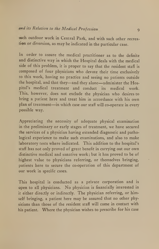such outdoor work in Central Park, and with such other recreation or diversion, as may be indicated in the particular case.

In order to assure the medical practitioner as to the definite and distinctive way in which the Hospital deals with the medical side of this problem, it is proper to say that the resident staff is composed of four physicians who devote their time exclusively to this work, having no practice and seeing no patients outside the hospital, and that they—and they alone—administer the Hospital's medical treatment and conduct its medical work. This, however, does not exclude the physician who desires to bring a patient here and treat him in accordance with his own plan of treatment—in which case our staff will co-operate in every possible way.

Appreciating the necessity of adequate physical examination in the preliminary or early stages of treatment, we have secured the services of a physician having extended diagnostic and pathological experience to make such examinations, and also to make laboratory tests where indicated. This addition to the hospital's staff has not only proved of great benefit in carrying out our own distinctive medical and sanative work; but it has proved to be of highest value to physicians referring, or themselves bringing, patients here to secure the co-operation of this department of our work in specific cases.

This hospital is conducted as a private corporation and is open to all physicians. No physician is financially interested in it either directly or indirectly. The physician referring, or himself bringing, <sup>a</sup> patient here may be assured that no other physicians than those of the resident staff will come in contact with his patient. Where the physician wishes to prescribe for his case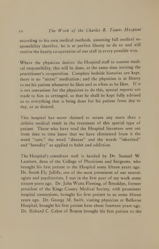according to his own medical methods, assuming full medical re sponsibility therefor, he is at perfect liberty to do so and will receive the hearty co-operation of our staff in every possible way.

Where the physician desires the Hospital staff to assume medical responsibility, this will be done, at the same time inviting the practitioner's co-operation. Complete bedside histories are kept, there is no "secret" medication; and the physician is at liberty to see his patient whenever he likes and as often as he likes. If it is not convenient for the physician to do this, special reports are made to him as arranged, so that he shall be kept fully advised as to everything that is being done for his patient from day to day, or as desired.

This hospital has never claimed to secure any more than <sup>a</sup> definite medical result in the treatment of this special type of patient. Those who have read the Hospital literature sent out from time to time know that we have eliminated from it the word "cure," the word "disease" and the words "inherited" and "heredity" as applied to habit and addiction.

The Hospital's consultant staff is headed by Dr. Samuel W. Lambert, dean of the College of Physicians and Surgeons, who brought his first patient to the Hospital some fifteen years ago. Dr. Smith Ely Jelliffe, one of the most prominent of our neurologists and psychiatrists, <sup>I</sup> met in the first year of my work some sixteen years ago. Dr. John Watts Fleming, of Brooklyn, former president of the Kings County Medical Society, with prominent hospital connections, brought his first patient to us some fifteen years ago. Dr. George M. Swift, visiting physician at Bellevue Hospital, brought his first patient here about fourteen years ago. Dr. Richard C. Cabot of Boston brought his first patient to the

 $\overline{1}$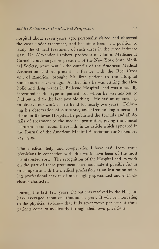hospital about seven years ago, personally visited and observed the cases under treatment, and has since been in a position to study the clinical treatment of such cases in the most intimate way. Dr. Alexander Lambert, professor of Clinical Medicine at Cornell University, now president of the New York State Medical Society, prominent in the councils of the American Medical Association and at present in France with the Red Cross unit of America, brought his first patient to the Hospital some fourteen years ago. At that time he was visiting the alco holic and drug wards in Bellevue Hospital, and was especially interested in this type of patient, for whom he was anxious to find out and do the best possible thing. He had an opportunity to observe our work at first hand for nearly two years. Following his observation of our work, and after holding a series of clinics in Bellevue Hospital, he published the formula and all details of treatment to the medical profession, giving the clinical histories in connection therewith, in an article which appeared in the Journal of the American Medical Association for September 25, 1909.

The medical help and co-operation <sup>I</sup> have had from these physicians in connection with this work have been of the most disinterested sort. The recognition of the Hospital and its work on the part of these prominent men has made it possible for us to co-operate with the medical profession as an institution offer ing professional service of most highly specialized and even ex clusive character.

During the last few years the patients received by the Hospital have averaged about one thousand <sup>a</sup> year. It will be interesting to the physician to know that fully seventy-five per cent of these patients come to us directly through their own physicians.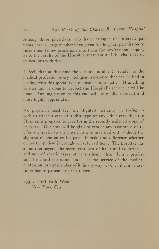Among those physicians who have brought or referred patients here, <sup>a</sup> large number have given the hospital permission to refer their fellow practitioners to them for professional inquiry as to the results of the Hospital treatment and the character of its dealings with them.

<sup>I</sup> feel that at this time the hospital is able to render to the medical profession every intelligent assistance that can be had in dealing with this special type of case institutionally. If anything further can be done to perfect the Hospital's service it will be done. Any suggestion to this end will be gladly received and most highly appreciated.

No physician need feel the slightest hesitancy in taking up with us either a case of addict type or any other case that the Hospital is prepared to care for in the recently widened scope of its work. Our staff will be glad to render any assistance or to offer any advice to any physician who may desire it, without the slightest obligation on his part. It makes no difference whether or not the patient is brought or referred here. The hospital has a function beyond the mere treatment of habit and addiction and now of certain types of neurasthenia also. It is a professional medical institution and is at the service of the medical profession, or any member of it, in any way in which it can be useful either to patient or practitioner.

293 Central Park West New York City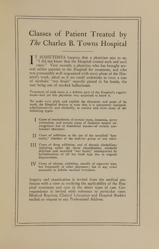## Classes of Patient Treated by The Charles B. Towns Hospital

IT SOMETIMES happens that <sup>a</sup> physician says to us, "I did not know that the Hospital treated such and such cases." Very recently <sup>a</sup> physician who has brought sev eral addict patients to the Hospital for treatment, and who was presumably well acquainted with every phase of the Hospital's work, asked us if we could undertake to treat <sup>a</sup> case of alcoholic "wet brain" recently placed in his hands, the case being one of marked hallucinosis.

Treatment of such cases is <sup>a</sup> definite part of the Hospital's regular work—and yet this physician was surprised to know it.

To make very plain and explicit the character and scope of its work, the Hospital desires to state that it is adequately equipped, administratively and clinically, to receive and treat cases of the following types:

- J Cases of neurasthenia of certain types, insomnia, nerve exhaustion, and certain types of incipient mental de-<br>rangement due to functional causes—of strictly nonlesional character.
- <sup>J</sup> <sup>J</sup> Cases of addiction to the use of the so-called "hypnotics," whether of the coal-tar group or any other.
- Ill C^ses of drug addiction, and of chronic alcoholism; including under the latter classification, alcoholic delirium and so-called "wet brain," accompanied by hallucinations of all but fixed type due to organic degeneration.
- J\7' Cases of tobacco addiction, usually of cigarette type, but frequently of other character; but in any event amenable to definite medical treatment.

Inquiry and examination is invited from the medical profession with a view to verifying the applicability of the Hospital treatment and care in the above types of case. Correspondence is invited with reference to particular cases. Medical Reprints, Clinical Literature and Hospital Booklet mailed on request to any Professional Address.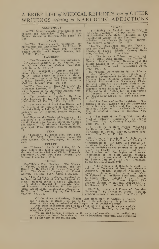### A BRIEF LIST of MEDICAL REPRINTS and of OTHER WRITINGS relating to NARCOTIC ADDICTIONS

### ANONYMOUS

1—"The Most Successful Treatment of Mor-<br>phinism and Alcoholism Today." Reprint,<br>Medical Review of Reviews, New York. Pp. 1-16. CABOT

2—"The Towns-Lambert Treatment for Morphinism and Alcoholism." By Richard C.<br>Cabot, M. D., Boston, Mass., 1911. Reprint, and C. Cabot, M. D., Boston Medical and Surgical Journal, May 11, 1911. Pp. 1-6.<br>LAMBERT

3—"The Treatment of Narcotic Addiction."<br>By Alexander Lambert, M. D. Reprint, *Jour*-<br>nal of the American Medical Association,

yune 21, 1913. Pp. 1-10.<br>
4--"The Treatment of Alcohol and Mor-<br>
phine Addictions." By Alexander Lambert,<br>
M. D. (Read before the Society of Alumni<br>
of Bellevue Hospital, at New York, December<br>
1, 1909.) Reprint, New York

<sup>5</sup>—"The Treatment of Drug Addiction." By Alexander Lambert, M. D., New York. Re-print. Journal of the American Medical Asso-ciation, Feb. 18, 1911. Pp. 3-7.

6—"The Intoxication Impulse." By Alex-<br>6—"The Intoxication Impulse." By Alex-<br>ander Lambert, M. D., New York. Reprint, Medical Record, Feb. 13, 1915. Pp. 1-25.

The Relation of Alcohol to Disease and<br>the Effects of Its Excessive or Moderate Use<br>Upon the Body and the Mind." By Alexander<br>Lambert, M. D. Reprint, Success Magazine, Pp. 1-14.

8—"Hope for the Victims of Narcotics. The<br>Discovery of a Treatment That Will Obliter-<br>ate the Craving for Opium, Morphine, Cocaine<br>and Alcohol." By Alexander Lambert, M. D., New York, 1909. Reprint, Success Magazine.  $P_{\rm p. 1-16.}$  FINK

<sup>9</sup>—"Tobacco." By Bruce Fink, New York, 1915. Pp. 5-123. The Abingdon Press, 150 Fifth Avenue. Cloth, 50c; paper, 2Sc; postage paid. ROLLER

10—"Tobacco." By B. F. Roller, M. D.<br>Read before the Eighth Annual Meeting of the American Association of Clinical Research, September 29, 1916, New York. Reprint, The Towns (The Medical Times, June, 1917.

11-"Habits That Handicap. The Menace of Opium, Alcohol and Tobacco, and the Remedy." By Charles B. Towns, New York,  $\begin{bmatrix} \text{S} \\ \text{1916} \\ \text{1916} \\ \text{1936} \\ \text{Avenue.} \end{bmatrix}$  Py Charles B. Towns, New York,  $\begin{bmatrix} \text{A} \\ \text{B} \\ \text{C} \\ \text{D} \\ \text{Avenue.} \end{bmatrix}$ 

12—"The Alcoholic Problem Considered in Bossel and Sociological Assets"<br>pets." In three parts: I. Care of Alcoholics in the pets." In three parts: I. Care of Alcoholics in the Modern Hospital; III. The Sociological Aspect

TOWNS<br>TOWNS<br>13—"Saving the Alcoholic and Solving the<br>Alcoholic Problem." In two parts: I. Care<br>of Alcoholics in the Modern Hospital; II. The<br>Sociological Aspect of the Treatment of Al-<br>coholism. By Charles B. Towns. Reprin

14—"The Drug-Taker and the Physician,<br>
and the Need of Adequate Treatment." By<br>
Charles B. Towns. Reprint, *Century Maga*-<br>
zine, October, 1912. New York.

15—"The Injury of Tobacco and Its Rela-<br>tion to Other Drug Habits." By Charles B.<br>Towns. Reprint, Century Magazine, for the<br>Health League of the Young Men's Christian<br>Association. New York. Association Press,

1912. Pp. 1-15. <sup>16</sup>—"Federal Responsibility in the Solution of the Habit-Forming Drug Problem." A Proposed Governmental Solution of the Hahit-<br>Forming Drug Question, Considered in Its<br>Medical, Pharmacal and Sociological Phases<br>and with Reference to Its State, National and<br>International Aspects; and Showing the In-<br>adeq Pp. 3-22.

17—"The Future of Addict Legislation. The Relation of the Physician and the Pharmacist<br>to the Narcotic Problem and Their Responsi-<br>hility in Its Solution." By Charles B. Towns.<br>Reprint, *Medical Review of Reviews*, New<br>Yor

18—"The Peril of the Drug Habit and the<br>Need of Restrictive Legislation." By Charles<br>B. Towns. Reprint, *Century Magazine*. New<br>York. Pp. 1-8.

19—"Help for the Hard Drinker; What Can<br>He Done to Save the Man Worth While?"<br>By Charles B. Towns. Reprint, *Century Mag-*<br>azine. New York. Pp. 1-7.

<sup>20</sup>—"How to Eliminate the Alcoholic as an Insane Problem. The Relation of Alcohol to<br>Commitments to Both State and Private Institutions for the Care of the Insane, Pre-<br>ventive Medicine as the Solution of the Prob-<br>lem." By Charles B. Towns. Read before<br>the Aliens

21—"The Necessity of Definite Medical Result in the Treatment of Drug and Alcoholic Addiction. Medical Treatment Necessary to Procure Obliteration of Craving, but Must Be Followed by Intelligent Sociological Effort to Sce

<sup>22</sup>—"The Present and Future of Narcotive Pathology.'' By Charles B. Towns. Reprint,<br>*Medical Review of Reviews,* New York, 1917.

Of the above publications, "Habits That Handicap," by Charles B. Towns,<br>and "Tobacco," by Bruce Fink, may be had of the publisher's prices, stated<br>above; or they may be ordered of the Hospital at the publisher's prices,<br>ab

West. New York City.<br>We are glad to send literature on the subject of narcotism in its medical and<br>social aspects as issued from time to time to physicians interested and requesting<br>us to place them on our mailing list.